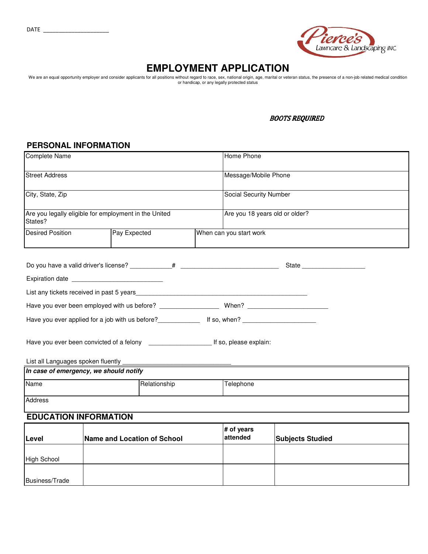

## **EMPLOYMENT APPLICATION**

We are an equal opportunity employer and consider applicants for all positions without regard to race, sex, national origin, age, marital or veteran status, the presence of a non-job related medical condition<br>or handicap,

### **BOOTS REQUIRED**

# **PERSONAL INFORMATION**

| Complete Name                                                    |              |                         | Home Phone                     |  |  |
|------------------------------------------------------------------|--------------|-------------------------|--------------------------------|--|--|
| Street Address                                                   |              |                         | Message/Mobile Phone           |  |  |
| City, State, Zip                                                 |              |                         | Social Security Number         |  |  |
| Are you legally eligible for employment in the United<br>States? |              |                         | Are you 18 years old or older? |  |  |
| <b>Desired Position</b>                                          | Pay Expected | When can you start work |                                |  |  |
|                                                                  |              |                         |                                |  |  |
| Expiration date ______________________________                   |              |                         |                                |  |  |
|                                                                  |              |                         |                                |  |  |
|                                                                  |              |                         |                                |  |  |
|                                                                  |              |                         |                                |  |  |
|                                                                  |              |                         |                                |  |  |
|                                                                  |              |                         |                                |  |  |
| In case of emergency, we should notify                           |              |                         |                                |  |  |
| Name<br>Relationship                                             |              | Telephone               |                                |  |  |
| Address                                                          |              |                         |                                |  |  |
| <b>EDUCATION INFORMATION</b>                                     |              |                         |                                |  |  |
|                                                                  |              |                         | $#$ of voore                   |  |  |

| Level          | Name and Location of School | $#$ of years<br>attended | <b>Subjects Studied</b> |
|----------------|-----------------------------|--------------------------|-------------------------|
| High School    |                             |                          |                         |
| Business/Trade |                             |                          |                         |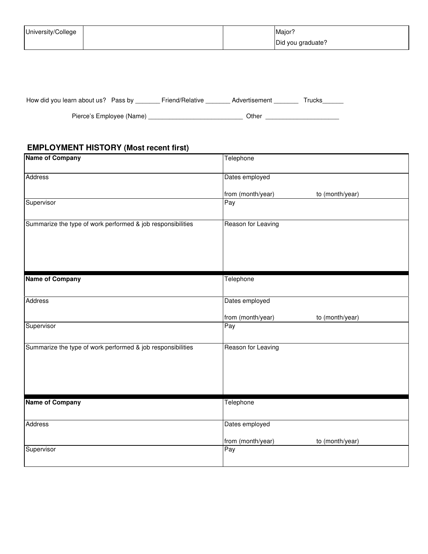| University/College |  | Major <sup>®</sup> |
|--------------------|--|--------------------|
|                    |  | Did you graduate?  |

| How did you learn about us? Pass by | Friend/Relative | Advertisement | Γrucks |
|-------------------------------------|-----------------|---------------|--------|
| Pierce's Employee (Name)            |                 | Other         |        |

### **EMPLOYMENT HISTORY (Most recent first)**

| <b>Name of Company</b>                                      | Telephone          |                 |
|-------------------------------------------------------------|--------------------|-----------------|
| Address                                                     | Dates employed     |                 |
|                                                             | from (month/year)  | to (month/year) |
| Supervisor                                                  | Pay                |                 |
| Summarize the type of work performed & job responsibilities | Reason for Leaving |                 |
| <b>Name of Company</b>                                      | Telephone          |                 |
| Address                                                     | Dates employed     |                 |
|                                                             | from (month/year)  | to (month/year) |
| Supervisor                                                  | Pay                |                 |
| Summarize the type of work performed & job responsibilities | Reason for Leaving |                 |
| <b>Name of Company</b>                                      | Telephone          |                 |
| Address                                                     | Dates employed     |                 |
|                                                             |                    |                 |
|                                                             | from (month/year)  | to (month/year) |
| Supervisor                                                  | Pay                |                 |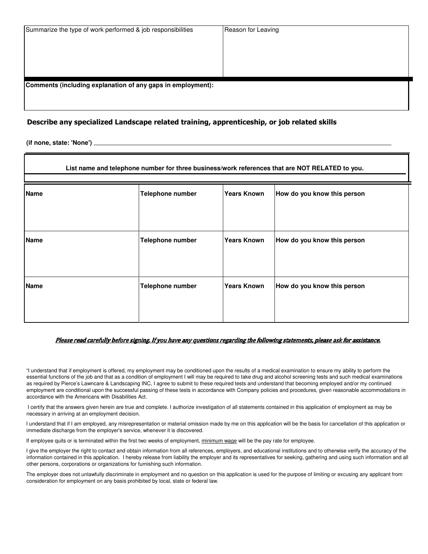**Comments (including explanation of any gaps in employment):**

#### Describe any specialized Landscape related training, apprenticeship, or job related skills

**(if none, state: 'None')** 

| List name and telephone number for three business/work references that are NOT RELATED to you. |                         |                    |                             |  |
|------------------------------------------------------------------------------------------------|-------------------------|--------------------|-----------------------------|--|
| <b>Name</b>                                                                                    | <b>Telephone number</b> | <b>Years Known</b> | How do you know this person |  |
| <b>Name</b>                                                                                    | <b>Telephone number</b> | <b>Years Known</b> | How do you know this person |  |
| <b>Name</b>                                                                                    | <b>Telephone number</b> | <b>Years Known</b> | How do you know this person |  |

#### Please read carefully before signing. If you have any questions regarding the following statements, please ask for assistance.

"I understand that if employment is offered, my employment may be conditioned upon the results of a medical examination to ensure my ability to perform the essential functions of the job and that as a condition of employment I will may be required to take drug and alcohol screening tests and such medical examinations as required by Pierce's Lawncare & Landscaping INC, I agree to submit to these required tests and understand that becoming employed and/or my continued employment are conditional upon the successful passing of these tests in accordance with Company policies and procedures, given reasonable accommodations in accordance with the Americans with Disabilities Act.

 I certify that the answers given herein are true and complete. I authorize investigation of all statements contained in this application of employment as may be necessary in arriving at an employment decision.

I understand that if I am employed, any misrepresentation or material omission made by me on this application will be the basis for cancellation of this application or immediate discharge from the employer's service, whenever it is discovered.

If employee quits or is terminated within the first two weeks of employment, minimum wage will be the pay rate for employee.

I give the employer the right to contact and obtain information from all references, employers, and educational institutions and to otherwise verify the accuracy of the information contained in this application. I hereby release from liability the employer and its representatives for seeking, gathering and using such information and all other persons, corporations or organizations for furnishing such information.

The employer does not unlawfully discriminate in employment and no question on this application is used for the purpose of limiting or excusing any applicant from consideration for employment on any basis prohibited by local, state or federal law.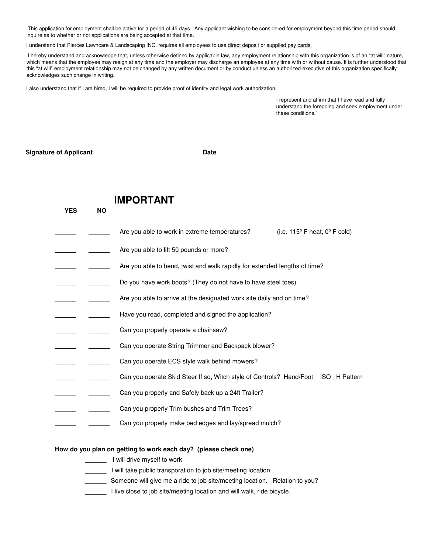This application for employment shall be active for a period of 45 days. Any applicant wishing to be considered for employment beyond this time period should inquire as to whether or not applications are being accepted at that time.

I understand that Pierces Lawncare & Landscaping INC. requires all employees to use direct deposit or supplied pay cards.

 I hereby understand and acknowledge that, unless otherwise defined by applicable law, any employment relationship with this organization is of an "at will" nature, which means that the employee may resign at any time and the employer may discharge an employee at any time with or without cause. It is further understood that this "at will" employment relationship may not be changed by any written document or by conduct unless an authorized executive of this organization specifically acknowledges such change in writing.

I also understand that if I am hired, I will be required to provide proof of identity and legal work authorization.

I represent and affirm that I have read and fully understand the foregoing and seek employment under these conditions."

**Signature of Applicant Community Community Community Community Community Community Community Community Community** 

**YES NO**

### **IMPORTANT**

- Are you able to work in extreme temperatures? (i.e. 115<sup>o</sup> F heat, 0<sup>o</sup> F cold)
- Are you able to lift 50 pounds or more?
- Are you able to bend, twist and walk rapidly for extended lengths of time?
- **\_\_\_\_\_\_ \_\_\_\_\_\_** Do you have work boots? (They do not have to have steel toes)
- Are you able to arrive at the designated work site daily and on time?
- **\_\_\_\_\_\_ \_\_\_\_\_\_** Have you read, completed and signed the application?
- Can you properly operate a chainsaw?
- **\_\_\_\_\_\_ \_\_\_\_\_\_** Can you operate String Trimmer and Backpack blower?
- Can you operate ECS style walk behind mowers?
- Can you operate Skid Steer If so, Witch style of Controls? Hand/Foot ISO H Pattern
- **\_\_\_\_\_\_ \_\_\_\_\_\_** Can you properly and Safely back up a 24ft Trailer?
- Can you properly Trim bushes and Trim Trees?
	- **\_\_\_\_\_\_ \_\_\_\_\_\_** Can you properly make bed edges and lay/spread mulch?

#### **How do you plan on getting to work each day? (please check one)**

- **\_\_\_\_\_\_** I will drive myself to work
	- **\_\_\_\_\_\_** I will take public transporation to job site/meeting location
	- **\_\_\_\_\_\_** Someone will give me a ride to job site/meeting location. Relation to you?
- **\_\_\_\_\_\_** I live close to job site/meeting location and will walk, ride bicycle.